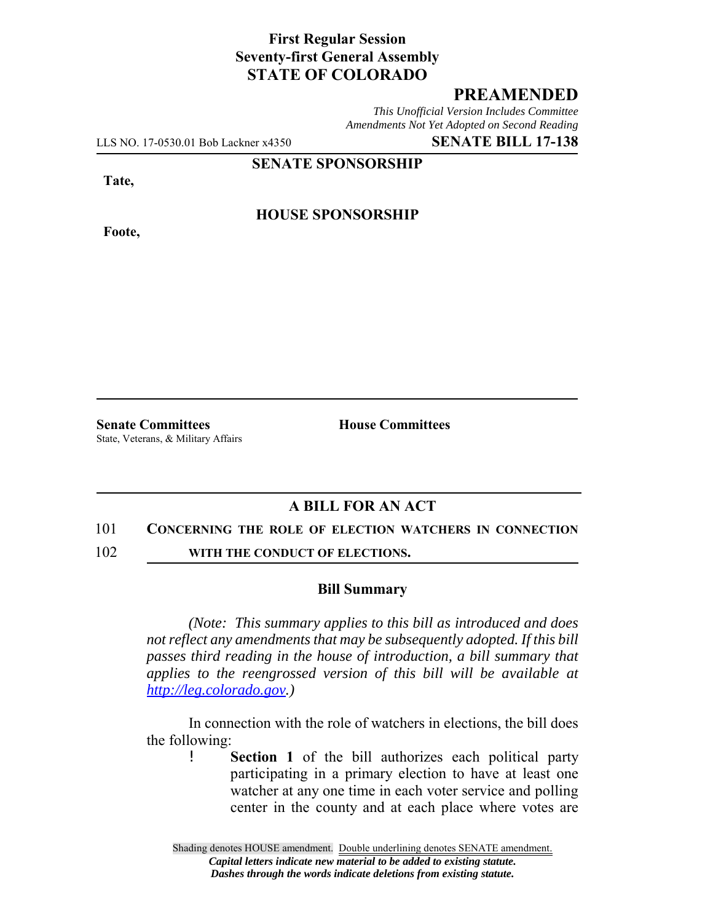# **First Regular Session Seventy-first General Assembly STATE OF COLORADO**

# **PREAMENDED**

*This Unofficial Version Includes Committee Amendments Not Yet Adopted on Second Reading*

LLS NO. 17-0530.01 Bob Lackner x4350 **SENATE BILL 17-138**

**SENATE SPONSORSHIP**

**Tate,**

**HOUSE SPONSORSHIP**

**Foote,**

**Senate Committees House Committees** State, Veterans, & Military Affairs

# **A BILL FOR AN ACT**

#### 101 **CONCERNING THE ROLE OF ELECTION WATCHERS IN CONNECTION**

102 **WITH THE CONDUCT OF ELECTIONS.** 

### **Bill Summary**

*(Note: This summary applies to this bill as introduced and does not reflect any amendments that may be subsequently adopted. If this bill passes third reading in the house of introduction, a bill summary that applies to the reengrossed version of this bill will be available at http://leg.colorado.gov.)*

In connection with the role of watchers in elections, the bill does the following:

> ! **Section 1** of the bill authorizes each political party participating in a primary election to have at least one watcher at any one time in each voter service and polling center in the county and at each place where votes are

Shading denotes HOUSE amendment. Double underlining denotes SENATE amendment. *Capital letters indicate new material to be added to existing statute. Dashes through the words indicate deletions from existing statute.*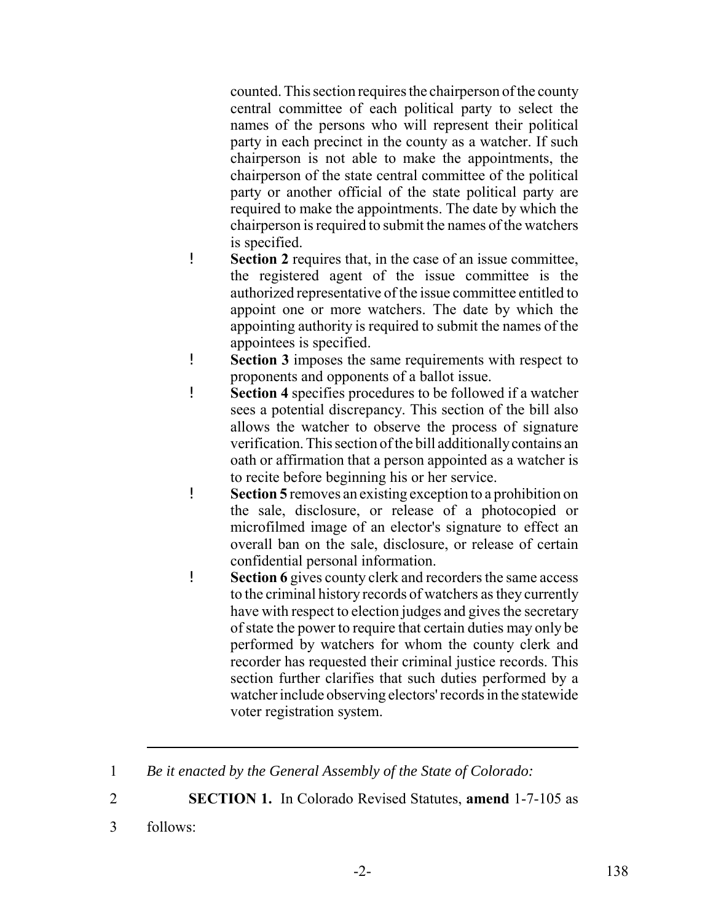counted. This section requires the chairperson of the county central committee of each political party to select the names of the persons who will represent their political party in each precinct in the county as a watcher. If such chairperson is not able to make the appointments, the chairperson of the state central committee of the political party or another official of the state political party are required to make the appointments. The date by which the chairperson is required to submit the names of the watchers is specified.

- ! **Section 2** requires that, in the case of an issue committee, the registered agent of the issue committee is the authorized representative of the issue committee entitled to appoint one or more watchers. The date by which the appointing authority is required to submit the names of the appointees is specified.
- ! **Section 3** imposes the same requirements with respect to proponents and opponents of a ballot issue.
- ! **Section 4** specifies procedures to be followed if a watcher sees a potential discrepancy. This section of the bill also allows the watcher to observe the process of signature verification. This section of the bill additionally contains an oath or affirmation that a person appointed as a watcher is to recite before beginning his or her service.
- ! **Section 5** removes an existing exception to a prohibition on the sale, disclosure, or release of a photocopied or microfilmed image of an elector's signature to effect an overall ban on the sale, disclosure, or release of certain confidential personal information.
- ! **Section 6** gives county clerk and recorders the same access to the criminal history records of watchers as they currently have with respect to election judges and gives the secretary of state the power to require that certain duties may only be performed by watchers for whom the county clerk and recorder has requested their criminal justice records. This section further clarifies that such duties performed by a watcher include observing electors' records in the statewide voter registration system.
- 1 *Be it enacted by the General Assembly of the State of Colorado:*
- 2 **SECTION 1.** In Colorado Revised Statutes, **amend** 1-7-105 as
- 3 follows: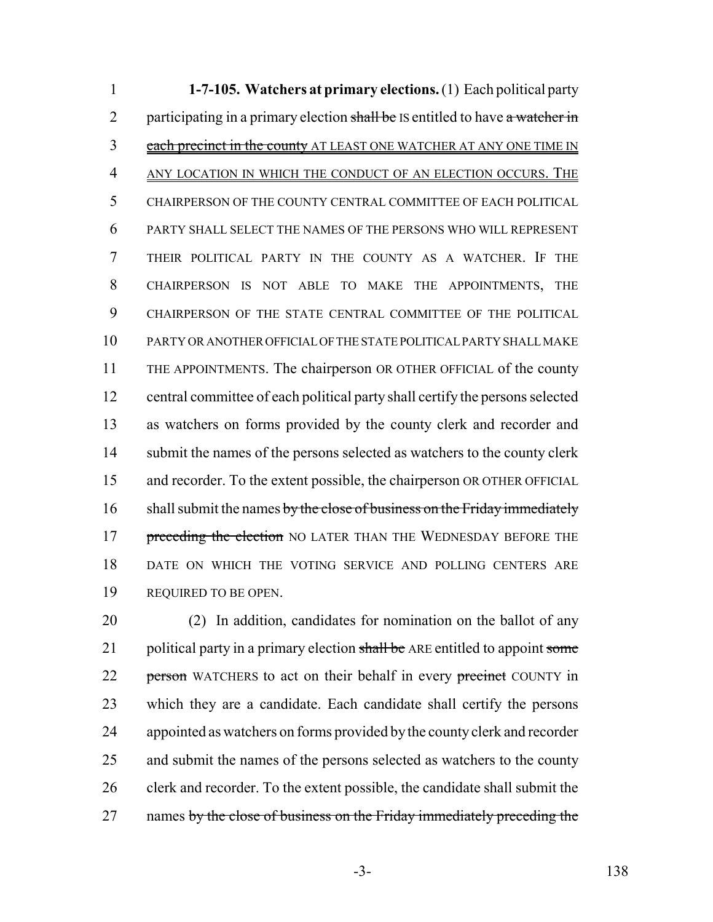**1-7-105. Watchers at primary elections.** (1) Each political party 2 participating in a primary election shall be IS entitled to have a watcher in 3 each precinct in the county AT LEAST ONE WATCHER AT ANY ONE TIME IN ANY LOCATION IN WHICH THE CONDUCT OF AN ELECTION OCCURS. THE CHAIRPERSON OF THE COUNTY CENTRAL COMMITTEE OF EACH POLITICAL PARTY SHALL SELECT THE NAMES OF THE PERSONS WHO WILL REPRESENT THEIR POLITICAL PARTY IN THE COUNTY AS A WATCHER. IF THE CHAIRPERSON IS NOT ABLE TO MAKE THE APPOINTMENTS, THE CHAIRPERSON OF THE STATE CENTRAL COMMITTEE OF THE POLITICAL PARTY OR ANOTHER OFFICIAL OF THE STATE POLITICAL PARTY SHALL MAKE THE APPOINTMENTS. The chairperson OR OTHER OFFICIAL of the county central committee of each political party shall certify the persons selected as watchers on forms provided by the county clerk and recorder and 14 submit the names of the persons selected as watchers to the county clerk and recorder. To the extent possible, the chairperson OR OTHER OFFICIAL 16 shall submit the names by the close of business on the Friday immediately 17 preceding the election NO LATER THAN THE WEDNESDAY BEFORE THE DATE ON WHICH THE VOTING SERVICE AND POLLING CENTERS ARE REQUIRED TO BE OPEN.

 (2) In addition, candidates for nomination on the ballot of any 21 political party in a primary election shall be ARE entitled to appoint some 22 person WATCHERS to act on their behalf in every precinct COUNTY in which they are a candidate. Each candidate shall certify the persons appointed as watchers on forms provided by the county clerk and recorder 25 and submit the names of the persons selected as watchers to the county clerk and recorder. To the extent possible, the candidate shall submit the 27 names by the close of business on the Friday immediately preceding the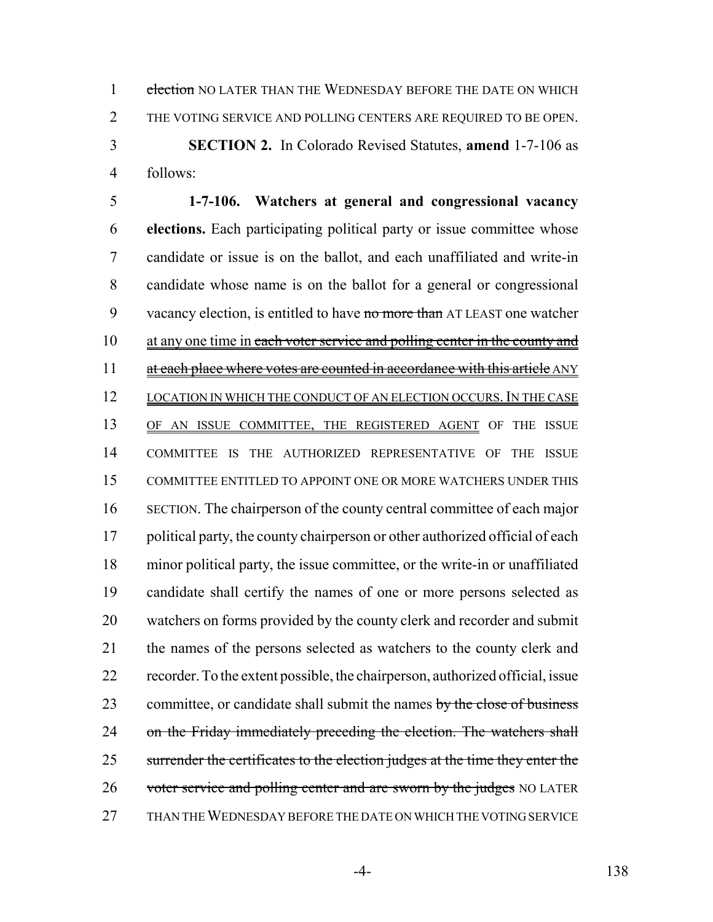1 election NO LATER THAN THE WEDNESDAY BEFORE THE DATE ON WHICH THE VOTING SERVICE AND POLLING CENTERS ARE REQUIRED TO BE OPEN. **SECTION 2.** In Colorado Revised Statutes, **amend** 1-7-106 as

follows:

 **1-7-106. Watchers at general and congressional vacancy elections.** Each participating political party or issue committee whose candidate or issue is on the ballot, and each unaffiliated and write-in candidate whose name is on the ballot for a general or congressional 9 vacancy election, is entitled to have no more than AT LEAST one watcher 10 at any one time in each voter service and polling center in the county and 11 at each place where votes are counted in accordance with this article ANY 12 LOCATION IN WHICH THE CONDUCT OF AN ELECTION OCCURS. IN THE CASE OF AN ISSUE COMMITTEE, THE REGISTERED AGENT OF THE ISSUE COMMITTEE IS THE AUTHORIZED REPRESENTATIVE OF THE ISSUE COMMITTEE ENTITLED TO APPOINT ONE OR MORE WATCHERS UNDER THIS SECTION. The chairperson of the county central committee of each major 17 political party, the county chairperson or other authorized official of each minor political party, the issue committee, or the write-in or unaffiliated candidate shall certify the names of one or more persons selected as watchers on forms provided by the county clerk and recorder and submit the names of the persons selected as watchers to the county clerk and recorder. To the extent possible, the chairperson, authorized official, issue 23 committee, or candidate shall submit the names by the close of business 24 on the Friday immediately preceding the election. The watchers shall 25 surrender the certificates to the election judges at the time they enter the 26 voter service and polling center and are sworn by the judges NO LATER THAN THE WEDNESDAY BEFORE THE DATE ON WHICH THE VOTING SERVICE

-4- 138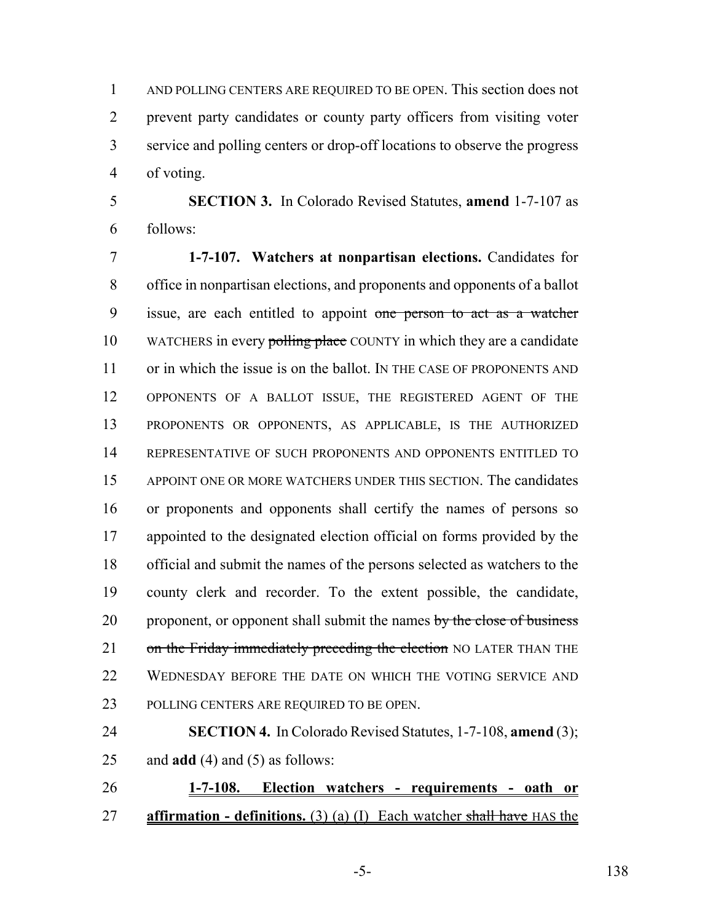AND POLLING CENTERS ARE REQUIRED TO BE OPEN. This section does not prevent party candidates or county party officers from visiting voter service and polling centers or drop-off locations to observe the progress of voting.

 **SECTION 3.** In Colorado Revised Statutes, **amend** 1-7-107 as follows:

 **1-7-107. Watchers at nonpartisan elections.** Candidates for office in nonpartisan elections, and proponents and opponents of a ballot 9 issue, are each entitled to appoint one person to act as a watcher 10 WATCHERS in every polling place COUNTY in which they are a candidate or in which the issue is on the ballot. IN THE CASE OF PROPONENTS AND OPPONENTS OF A BALLOT ISSUE, THE REGISTERED AGENT OF THE PROPONENTS OR OPPONENTS, AS APPLICABLE, IS THE AUTHORIZED REPRESENTATIVE OF SUCH PROPONENTS AND OPPONENTS ENTITLED TO APPOINT ONE OR MORE WATCHERS UNDER THIS SECTION. The candidates or proponents and opponents shall certify the names of persons so appointed to the designated election official on forms provided by the official and submit the names of the persons selected as watchers to the county clerk and recorder. To the extent possible, the candidate, 20 proponent, or opponent shall submit the names by the close of business 21 on the Friday immediately preceding the election NO LATER THAN THE 22 WEDNESDAY BEFORE THE DATE ON WHICH THE VOTING SERVICE AND POLLING CENTERS ARE REQUIRED TO BE OPEN.

 **SECTION 4.** In Colorado Revised Statutes, 1-7-108, **amend** (3); and **add** (4) and (5) as follows:

 **1-7-108. Election watchers - requirements - oath or affirmation - definitions.** (3) (a) (I) Each watcher shall have HAS the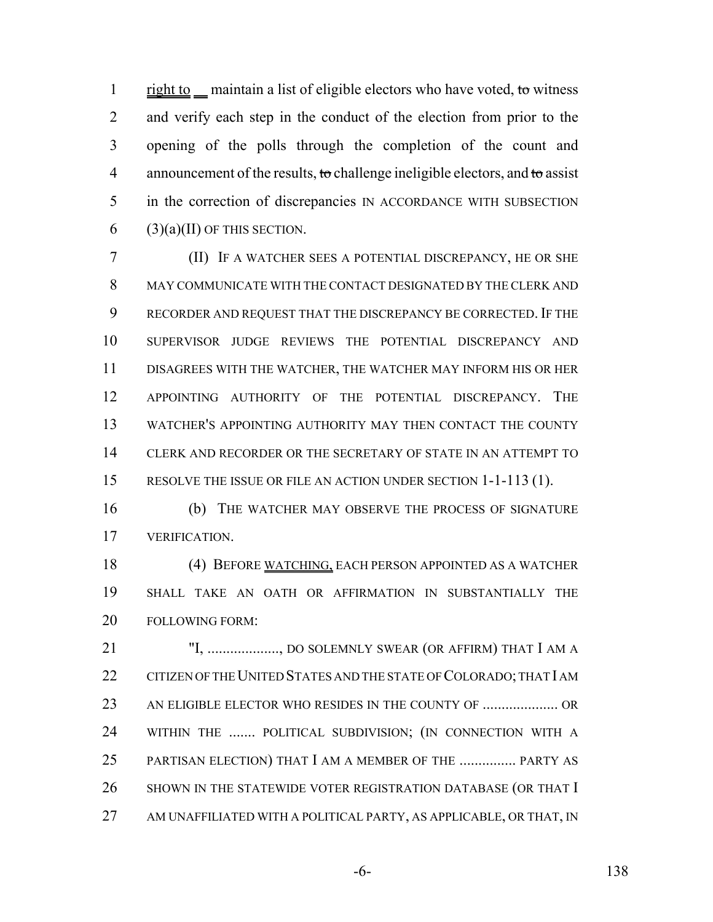1 right to maintain a list of eligible electors who have voted, to witness 2 and verify each step in the conduct of the election from prior to the opening of the polls through the completion of the count and 4 announcement of the results, to challenge ineligible electors, and to assist in the correction of discrepancies IN ACCORDANCE WITH SUBSECTION 6 (3)(a)(II) OF THIS SECTION.

 (II) IF A WATCHER SEES A POTENTIAL DISCREPANCY, HE OR SHE MAY COMMUNICATE WITH THE CONTACT DESIGNATED BY THE CLERK AND RECORDER AND REQUEST THAT THE DISCREPANCY BE CORRECTED. IF THE SUPERVISOR JUDGE REVIEWS THE POTENTIAL DISCREPANCY AND DISAGREES WITH THE WATCHER, THE WATCHER MAY INFORM HIS OR HER APPOINTING AUTHORITY OF THE POTENTIAL DISCREPANCY. THE WATCHER'S APPOINTING AUTHORITY MAY THEN CONTACT THE COUNTY CLERK AND RECORDER OR THE SECRETARY OF STATE IN AN ATTEMPT TO RESOLVE THE ISSUE OR FILE AN ACTION UNDER SECTION 1-1-113 (1).

 (b) THE WATCHER MAY OBSERVE THE PROCESS OF SIGNATURE VERIFICATION.

 (4) BEFORE WATCHING, EACH PERSON APPOINTED AS A WATCHER SHALL TAKE AN OATH OR AFFIRMATION IN SUBSTANTIALLY THE FOLLOWING FORM:

 "I, ..................., DO SOLEMNLY SWEAR (OR AFFIRM) THAT I AM A 22 CITIZEN OF THE UNITED STATES AND THE STATE OF COLORADO; THAT I AM AN ELIGIBLE ELECTOR WHO RESIDES IN THE COUNTY OF .................... OR WITHIN THE ....... POLITICAL SUBDIVISION; (IN CONNECTION WITH A PARTISAN ELECTION) THAT I AM A MEMBER OF THE ............... PARTY AS 26 SHOWN IN THE STATEWIDE VOTER REGISTRATION DATABASE (OR THAT I 27 AM UNAFFILIATED WITH A POLITICAL PARTY, AS APPLICABLE, OR THAT, IN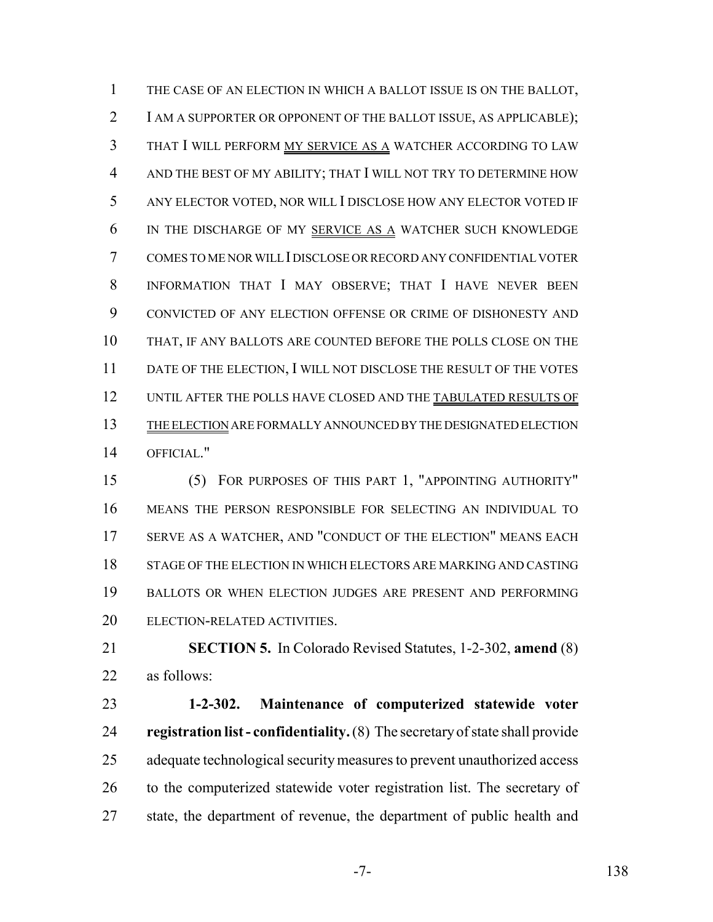THE CASE OF AN ELECTION IN WHICH A BALLOT ISSUE IS ON THE BALLOT, I AM A SUPPORTER OR OPPONENT OF THE BALLOT ISSUE, AS APPLICABLE); THAT I WILL PERFORM MY SERVICE AS A WATCHER ACCORDING TO LAW AND THE BEST OF MY ABILITY; THAT I WILL NOT TRY TO DETERMINE HOW ANY ELECTOR VOTED, NOR WILL I DISCLOSE HOW ANY ELECTOR VOTED IF IN THE DISCHARGE OF MY SERVICE AS A WATCHER SUCH KNOWLEDGE COMES TO ME NOR WILL I DISCLOSE OR RECORD ANY CONFIDENTIAL VOTER INFORMATION THAT I MAY OBSERVE; THAT I HAVE NEVER BEEN CONVICTED OF ANY ELECTION OFFENSE OR CRIME OF DISHONESTY AND THAT, IF ANY BALLOTS ARE COUNTED BEFORE THE POLLS CLOSE ON THE 11 DATE OF THE ELECTION, I WILL NOT DISCLOSE THE RESULT OF THE VOTES 12 UNTIL AFTER THE POLLS HAVE CLOSED AND THE TABULATED RESULTS OF THE ELECTION ARE FORMALLY ANNOUNCED BY THE DESIGNATED ELECTION OFFICIAL."

 (5) FOR PURPOSES OF THIS PART 1, "APPOINTING AUTHORITY" MEANS THE PERSON RESPONSIBLE FOR SELECTING AN INDIVIDUAL TO SERVE AS A WATCHER, AND "CONDUCT OF THE ELECTION" MEANS EACH STAGE OF THE ELECTION IN WHICH ELECTORS ARE MARKING AND CASTING BALLOTS OR WHEN ELECTION JUDGES ARE PRESENT AND PERFORMING ELECTION-RELATED ACTIVITIES.

 **SECTION 5.** In Colorado Revised Statutes, 1-2-302, **amend** (8) as follows:

 **1-2-302. Maintenance of computerized statewide voter registration list - confidentiality.** (8) The secretary of state shall provide adequate technological security measures to prevent unauthorized access to the computerized statewide voter registration list. The secretary of state, the department of revenue, the department of public health and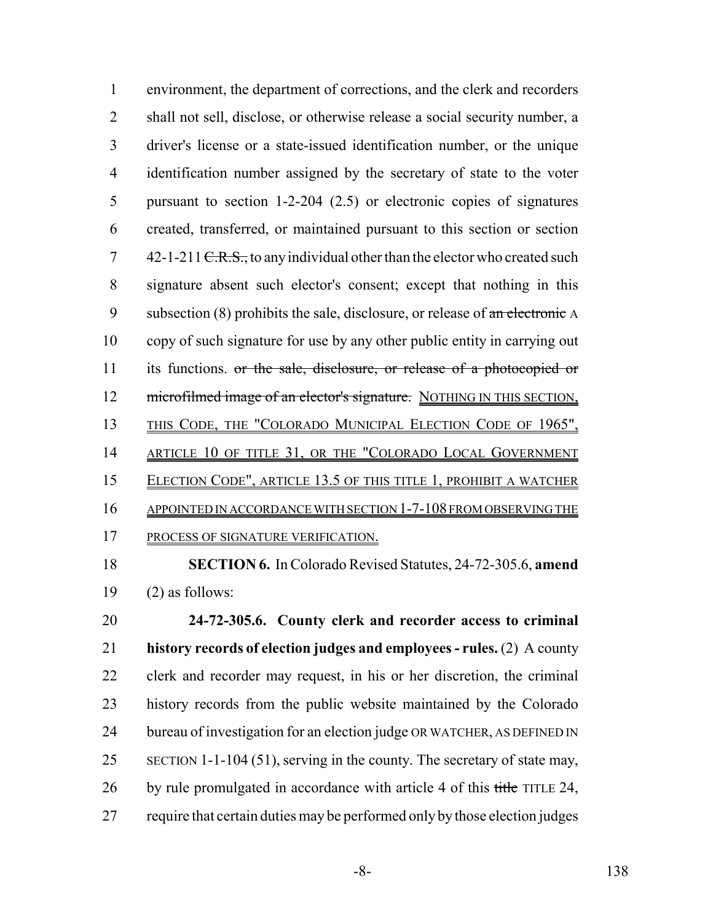environment, the department of corrections, and the clerk and recorders shall not sell, disclose, or otherwise release a social security number, a driver's license or a state-issued identification number, or the unique identification number assigned by the secretary of state to the voter pursuant to section 1-2-204 (2.5) or electronic copies of signatures created, transferred, or maintained pursuant to this section or section  $7 \quad 42$ -1-211 <del>C.R.S.,</del> to any individual other than the elector who created such signature absent such elector's consent; except that nothing in this 9 subsection (8) prohibits the sale, disclosure, or release of  $\alpha$ n electronic A copy of such signature for use by any other public entity in carrying out 11 its functions. or the sale, disclosure, or release of a photocopied or 12 microfilmed image of an elector's signature. NOTHING IN THIS SECTION, 13 THIS CODE, THE "COLORADO MUNICIPAL ELECTION CODE OF 1965", 14 ARTICLE 10 OF TITLE 31, OR THE "COLORADO LOCAL GOVERNMENT ELECTION CODE", ARTICLE 13.5 OF THIS TITLE 1, PROHIBIT A WATCHER APPOINTED IN ACCORDANCE WITH SECTION 1-7-108 FROM OBSERVING THE PROCESS OF SIGNATURE VERIFICATION.

 **SECTION 6.** In Colorado Revised Statutes, 24-72-305.6, **amend** 19  $(2)$  as follows:

 **24-72-305.6. County clerk and recorder access to criminal history records of election judges and employees - rules.** (2) A county clerk and recorder may request, in his or her discretion, the criminal history records from the public website maintained by the Colorado 24 bureau of investigation for an election judge OR WATCHER, AS DEFINED IN 25 SECTION 1-1-104 (51), serving in the county. The secretary of state may, 26 by rule promulgated in accordance with article 4 of this title TITLE 24, require that certain duties may be performed only by those election judges